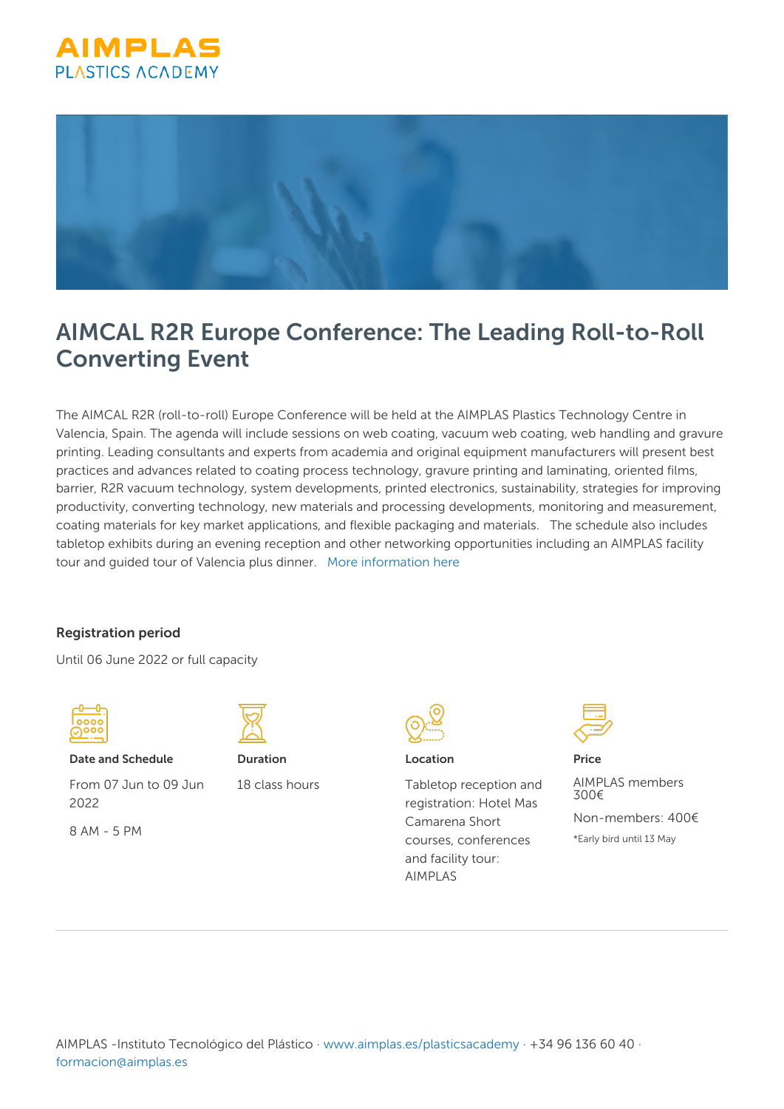



## AIMCAL R2R Europe Conference: The Leading Roll-to-Roll Converting Event

The AIMCAL R2R (roll-to-roll) Europe Conference will be held at the AIMPLAS Plastics Technology Centre in Valencia, Spain. The agenda will include sessions on web coating, vacuum web coating, web handling and gravure printing. Leading consultants and experts from academia and original equipment manufacturers will present best practices and advances related to coating process technology, gravure printing and laminating, oriented films, barrier, R2R vacuum technology, system developments, printed electronics, sustainability, strategies for improving productivity, converting technology, new materials and processing developments, monitoring and measurement, coating materials for key market applications, and flexible packaging and materials. The schedule also includes tabletop exhibits during an evening reception and other networking opportunities including an AIMPLAS facility tour and guided tour of Valencia plus dinner. [More information here](https://www.aimcal.org/AIMCAL/Events/2022-R2R-Europe-Conference/AIMCAL/Events/2022-R2R-Europe/2022-R2R-Europe-Conference.aspx?hkey=82d9971e-4c7f-473a-b2fa-f3ed7b7c72a0)

## Registration period

Until 06 June 2022 or full capacity



Date and Schedule

From 07 Jun to 09 Jun 2022

8 AM - 5 PM



Duration 18 class hours



Location

Tabletop reception and registration: Hotel Mas Camarena Short courses, conferences and facility tour: AIMPLAS



Price

AIMPLAS members 300€ Non-members: 400€ \*Early bird until 13 May